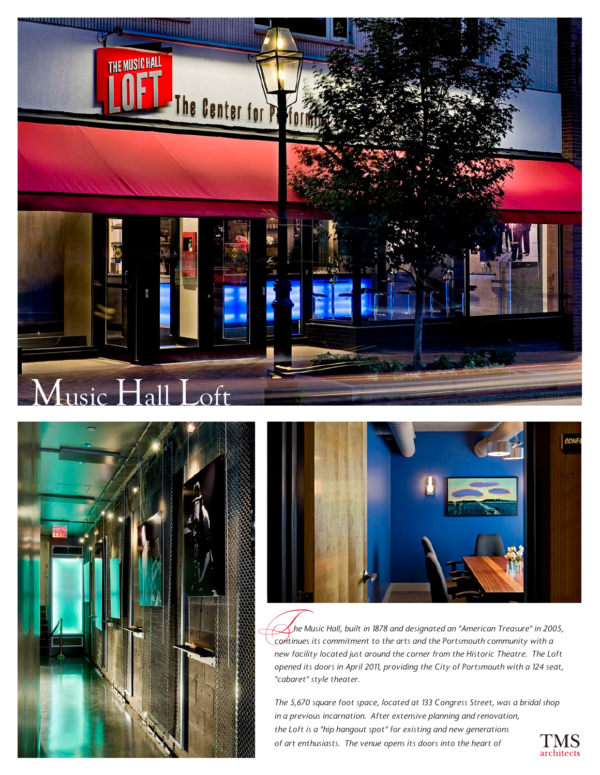





 *he Music Hall, built in 1878 and designated an "American Treasure" in 2005, continues its commitment to the arts and the Portsmouth community with a*<br>Continues its commitment to the arts and the Portsmouth community with a *new facility located just around the corner from the Historic Theatre. The Loft opened its doors in April 2011, providing the City of Portsmouth with a 124 seat, "cabaret" style theater.*

*The 5,670 square foot space, located at 133 Congress Street, was a bridal shop in a previous incarnation. After extensive planning and renovation, the Loft is a "hip hangout spot" for existing and new generations of art enthusiasts. The venue opens its doors into the heart of*